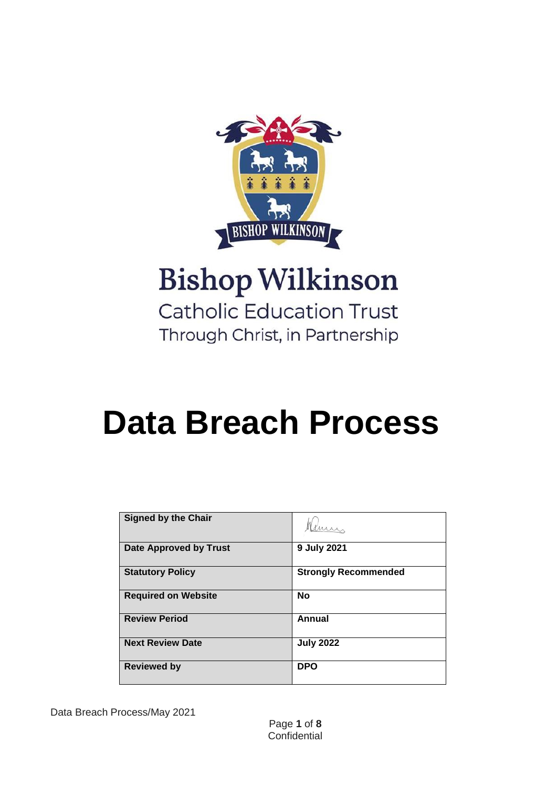

# **Bishop Wilkinson Catholic Education Trust** Through Christ, in Partnership

# **Data Breach Process**

| <b>Signed by the Chair</b>    |                             |
|-------------------------------|-----------------------------|
| <b>Date Approved by Trust</b> | 9 July 2021                 |
| <b>Statutory Policy</b>       | <b>Strongly Recommended</b> |
| <b>Required on Website</b>    | <b>No</b>                   |
| <b>Review Period</b>          | Annual                      |
| <b>Next Review Date</b>       | <b>July 2022</b>            |
| <b>Reviewed by</b>            | <b>DPO</b>                  |

Data Breach Process/May 2021

Page **1** of **8 Confidential**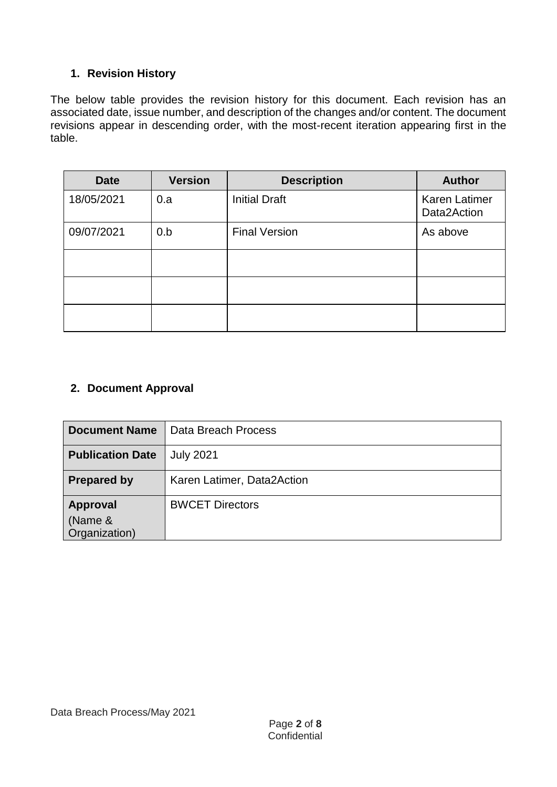# **1. Revision History**

The below table provides the revision history for this document. Each revision has an associated date, issue number, and description of the changes and/or content. The document revisions appear in descending order, with the most-recent iteration appearing first in the table.

| <b>Date</b> | <b>Version</b> | <b>Description</b>   | <b>Author</b>                |
|-------------|----------------|----------------------|------------------------------|
| 18/05/2021  | 0.a            | <b>Initial Draft</b> | Karen Latimer<br>Data2Action |
| 09/07/2021  | 0.b            | <b>Final Version</b> | As above                     |
|             |                |                      |                              |
|             |                |                      |                              |
|             |                |                      |                              |

# **2. Document Approval**

| <b>Document Name</b>                 | Data Breach Process        |
|--------------------------------------|----------------------------|
| <b>Publication Date</b>              | <b>July 2021</b>           |
| <b>Prepared by</b>                   | Karen Latimer, Data2Action |
| Approval<br>(Name &<br>Organization) | <b>BWCET Directors</b>     |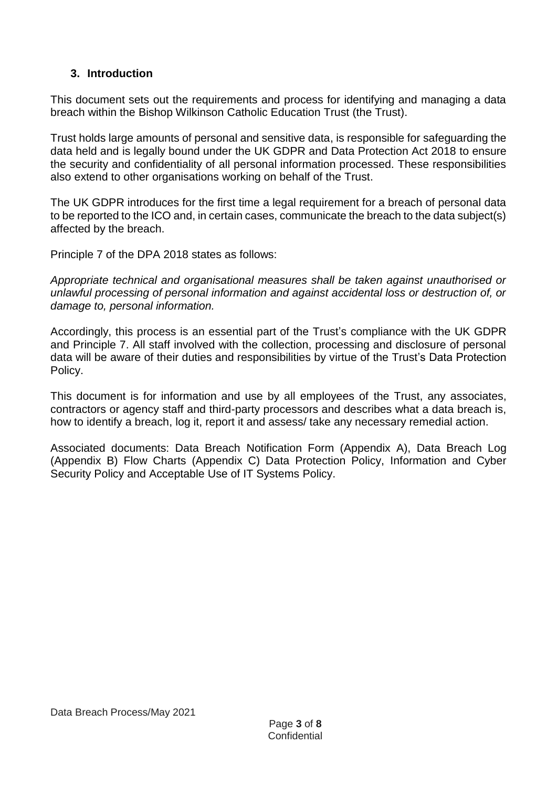# **3. Introduction**

This document sets out the requirements and process for identifying and managing a data breach within the Bishop Wilkinson Catholic Education Trust (the Trust).

Trust holds large amounts of personal and sensitive data, is responsible for safeguarding the data held and is legally bound under the UK GDPR and Data Protection Act 2018 to ensure the security and confidentiality of all personal information processed. These responsibilities also extend to other organisations working on behalf of the Trust.

The UK GDPR introduces for the first time a legal requirement for a breach of personal data to be reported to the ICO and, in certain cases, communicate the breach to the data subject(s) affected by the breach.

Principle 7 of the DPA 2018 states as follows:

*Appropriate technical and organisational measures shall be taken against unauthorised or unlawful processing of personal information and against accidental loss or destruction of, or damage to, personal information.* 

Accordingly, this process is an essential part of the Trust's compliance with the UK GDPR and Principle 7. All staff involved with the collection, processing and disclosure of personal data will be aware of their duties and responsibilities by virtue of the Trust's Data Protection Policy.

This document is for information and use by all employees of the Trust, any associates, contractors or agency staff and third-party processors and describes what a data breach is, how to identify a breach, log it, report it and assess/ take any necessary remedial action.

Associated documents: Data Breach Notification Form (Appendix A), Data Breach Log (Appendix B) Flow Charts (Appendix C) Data Protection Policy, Information and Cyber Security Policy and Acceptable Use of IT Systems Policy.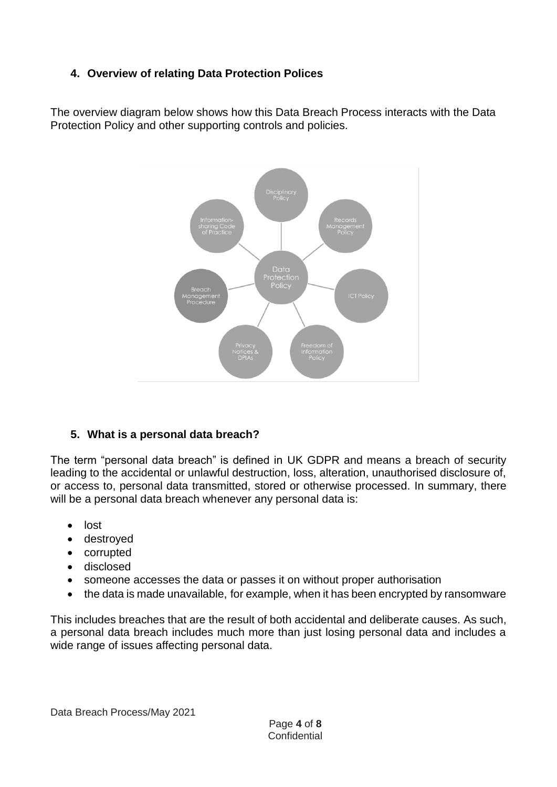# **4. Overview of relating Data Protection Polices**

The overview diagram below shows how this Data Breach Process interacts with the Data Protection Policy and other supporting controls and policies.



# **5. What is a personal data breach?**

The term "personal data breach" is defined in UK GDPR and means a breach of security leading to the accidental or unlawful destruction, loss, alteration, unauthorised disclosure of, or access to, personal data transmitted, stored or otherwise processed. In summary, there will be a personal data breach whenever any personal data is:

- lost
- destroyed
- corrupted
- disclosed
- someone accesses the data or passes it on without proper authorisation
- the data is made unavailable, for example, when it has been encrypted by ransomware

This includes breaches that are the result of both accidental and deliberate causes. As such, a personal data breach includes much more than just losing personal data and includes a wide range of issues affecting personal data.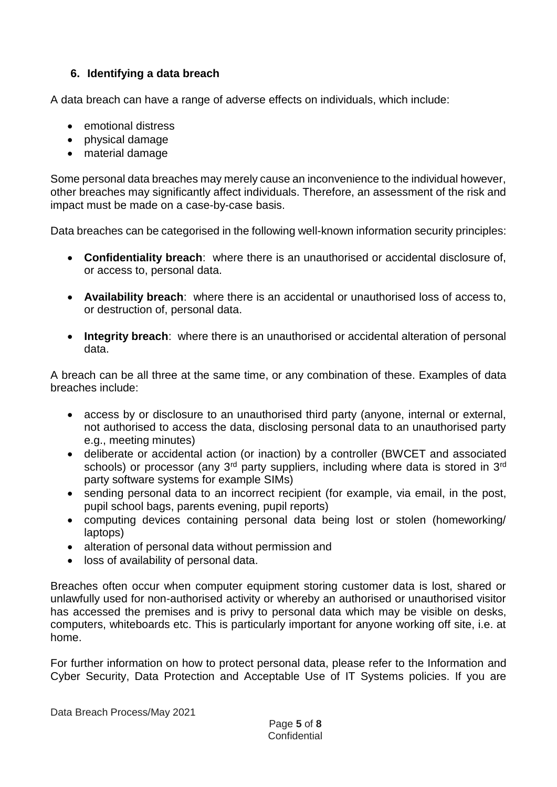# **6. Identifying a data breach**

A data breach can have a range of adverse effects on individuals, which include:

- emotional distress
- physical damage
- material damage

Some personal data breaches may merely cause an inconvenience to the individual however, other breaches may significantly affect individuals. Therefore, an assessment of the risk and impact must be made on a case-by-case basis.

Data breaches can be categorised in the following well-known information security principles:

- **Confidentiality breach**: where there is an unauthorised or accidental disclosure of, or access to, personal data.
- **Availability breach**: where there is an accidental or unauthorised loss of access to, or destruction of, personal data.
- **Integrity breach**: where there is an unauthorised or accidental alteration of personal data.

A breach can be all three at the same time, or any combination of these. Examples of data breaches include:

- access by or disclosure to an unauthorised third party (anyone, internal or external, not authorised to access the data, disclosing personal data to an unauthorised party e.g., meeting minutes)
- deliberate or accidental action (or inaction) by a controller (BWCET and associated schools) or processor (any  $3<sup>rd</sup>$  party suppliers, including where data is stored in  $3<sup>rd</sup>$ party software systems for example SIMs)
- sending personal data to an incorrect recipient (for example, via email, in the post, pupil school bags, parents evening, pupil reports)
- computing devices containing personal data being lost or stolen (homeworking/ laptops)
- alteration of personal data without permission and
- loss of availability of personal data.

Breaches often occur when computer equipment storing customer data is lost, shared or unlawfully used for non-authorised activity or whereby an authorised or unauthorised visitor has accessed the premises and is privy to personal data which may be visible on desks, computers, whiteboards etc. This is particularly important for anyone working off site, i.e. at home.

For further information on how to protect personal data, please refer to the Information and Cyber Security, Data Protection and Acceptable Use of IT Systems policies. If you are

Data Breach Process/May 2021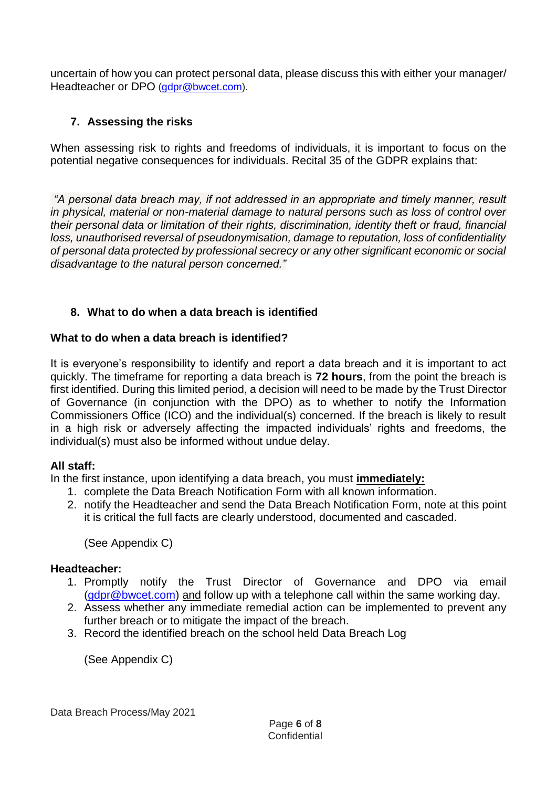uncertain of how you can protect personal data, please discuss this with either your manager/ Headteacher or DPO [\(gdpr@bwcet.com\)](mailto:gdpr@bwcet.com).

# **7. Assessing the risks**

When assessing risk to rights and freedoms of individuals, it is important to focus on the potential negative consequences for individuals. Recital 35 of the GDPR explains that:

*"A personal data breach may, if not addressed in an appropriate and timely manner, result in physical, material or non-material damage to natural persons such as loss of control over their personal data or limitation of their rights, discrimination, identity theft or fraud, financial loss, unauthorised reversal of pseudonymisation, damage to reputation, loss of confidentiality of personal data protected by professional secrecy or any other significant economic or social disadvantage to the natural person concerned."*

# **8. What to do when a data breach is identified**

#### **What to do when a data breach is identified?**

It is everyone's responsibility to identify and report a data breach and it is important to act quickly. The timeframe for reporting a data breach is **72 hours**, from the point the breach is first identified. During this limited period, a decision will need to be made by the Trust Director of Governance (in conjunction with the DPO) as to whether to notify the Information Commissioners Office (ICO) and the individual(s) concerned. If the breach is likely to result in a high risk or adversely affecting the impacted individuals' rights and freedoms, the individual(s) must also be informed without undue delay.

#### **All staff:**

In the first instance, upon identifying a data breach, you must **immediately:**

- 1. complete the Data Breach Notification Form with all known information.
- 2. notify the Headteacher and send the Data Breach Notification Form, note at this point it is critical the full facts are clearly understood, documented and cascaded.

(See Appendix C)

#### **Headteacher:**

- 1. Promptly notify the Trust Director of Governance and DPO via email [\(gdpr@bwcet.com\)](mailto:gdpr@bwcet.com) and follow up with a telephone call within the same working day.
- 2. Assess whether any immediate remedial action can be implemented to prevent any further breach or to mitigate the impact of the breach.
- 3. Record the identified breach on the school held Data Breach Log

(See Appendix C)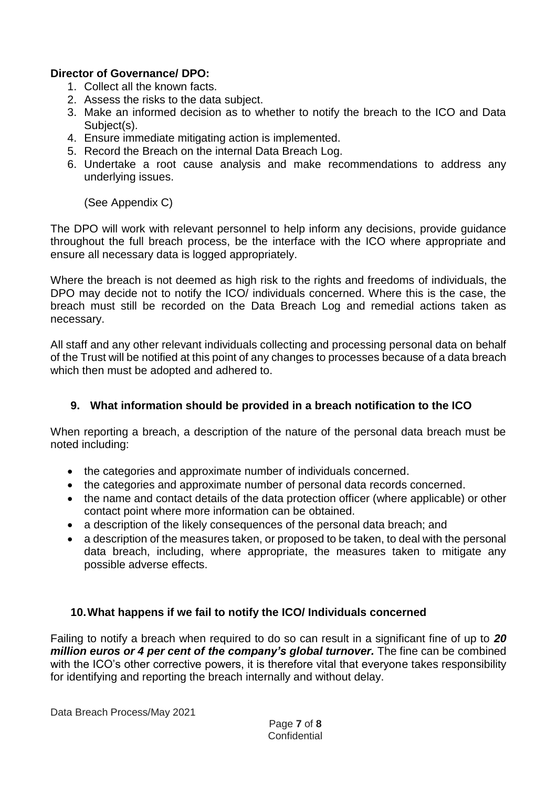#### **Director of Governance/ DPO:**

- 1. Collect all the known facts.
- 2. Assess the risks to the data subject.
- 3. Make an informed decision as to whether to notify the breach to the ICO and Data Subject(s).
- 4. Ensure immediate mitigating action is implemented.
- 5. Record the Breach on the internal Data Breach Log.
- 6. Undertake a root cause analysis and make recommendations to address any underlying issues.

(See Appendix C)

The DPO will work with relevant personnel to help inform any decisions, provide guidance throughout the full breach process, be the interface with the ICO where appropriate and ensure all necessary data is logged appropriately.

Where the breach is not deemed as high risk to the rights and freedoms of individuals, the DPO may decide not to notify the ICO/ individuals concerned. Where this is the case, the breach must still be recorded on the Data Breach Log and remedial actions taken as necessary.

All staff and any other relevant individuals collecting and processing personal data on behalf of the Trust will be notified at this point of any changes to processes because of a data breach which then must be adopted and adhered to.

#### **9. What information should be provided in a breach notification to the ICO**

When reporting a breach, a description of the nature of the personal data breach must be noted including:

- the categories and approximate number of individuals concerned.
- the categories and approximate number of personal data records concerned.
- the name and contact details of the data protection officer (where applicable) or other contact point where more information can be obtained.
- a description of the likely consequences of the personal data breach; and
- a description of the measures taken, or proposed to be taken, to deal with the personal data breach, including, where appropriate, the measures taken to mitigate any possible adverse effects.

#### **10.What happens if we fail to notify the ICO/ Individuals concerned**

Failing to notify a breach when required to do so can result in a significant fine of up to *20 million euros or 4 per cent of the company's global turnover.* The fine can be combined with the ICO's other corrective powers, it is therefore vital that everyone takes responsibility for identifying and reporting the breach internally and without delay.